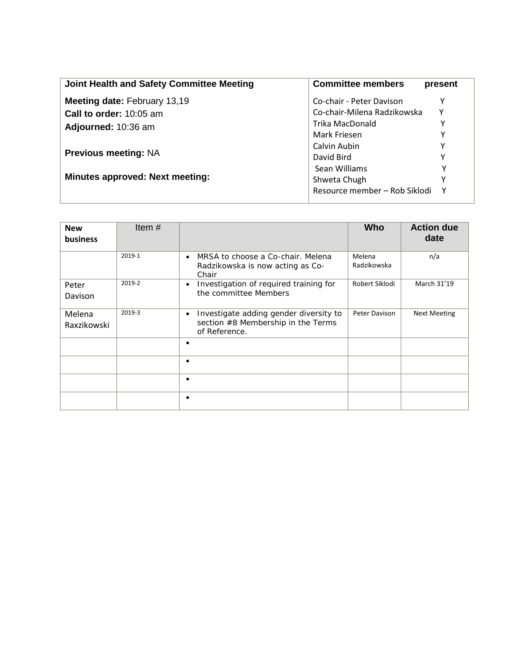| Joint Health and Safety Committee Meeting | <b>Committee members</b>      | present      |
|-------------------------------------------|-------------------------------|--------------|
| <b>Meeting date: February 13,19</b>       | Co-chair - Peter Davison      |              |
| <b>Call to order: 10:05 am</b>            | Co-chair-Milena Radzikowska   | Υ            |
| Adjourned: 10:36 am                       | Trika MacDonald               |              |
|                                           | Mark Friesen                  | Υ            |
|                                           | Calvin Aubin                  |              |
| <b>Previous meeting: NA</b>               | David Bird                    |              |
|                                           | Sean Williams                 | Υ            |
| <b>Minutes approved: Next meeting:</b>    | Shweta Chugh                  | Υ            |
|                                           | Resource member - Rob Siklodi | $\mathsf{v}$ |

| <b>New</b><br><b>business</b> | Item#  |                                                                                                            | Who                   | <b>Action due</b><br>date |
|-------------------------------|--------|------------------------------------------------------------------------------------------------------------|-----------------------|---------------------------|
|                               | 2019-1 | MRSA to choose a Co-chair. Melena<br>$\bullet$<br>Radzikowska is now acting as Co-<br>Chair                | Melena<br>Radzikowska | n/a                       |
| Peter<br>Davison              | 2019-2 | Investigation of required training for<br>$\bullet$<br>the committee Members                               | Robert Siklodi        | March 31'19               |
| Melena<br>Raxzikowski         | 2019-3 | Investigate adding gender diversity to<br>$\bullet$<br>section #8 Membership in the Terms<br>of Reference. | Peter Davison         | <b>Next Meeting</b>       |
|                               |        | ٠                                                                                                          |                       |                           |
|                               |        | ٠                                                                                                          |                       |                           |
|                               |        | ٠                                                                                                          |                       |                           |
|                               |        | ٠                                                                                                          |                       |                           |